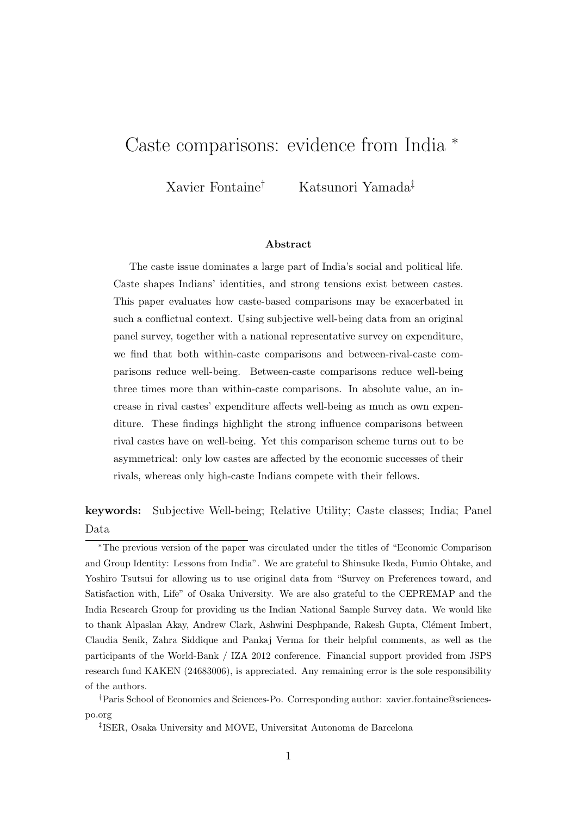# <span id="page-0-0"></span>Caste comparisons: evidence from India <sup>∗</sup>

Xavier Fontaine† Katsunori Yamada‡

#### Abstract

The caste issue dominates a large part of India's social and political life. Caste shapes Indians' identities, and strong tensions exist between castes. This paper evaluates how caste-based comparisons may be exacerbated in such a conflictual context. Using subjective well-being data from an original panel survey, together with a national representative survey on expenditure, we find that both within-caste comparisons and between-rival-caste comparisons reduce well-being. Between-caste comparisons reduce well-being three times more than within-caste comparisons. In absolute value, an increase in rival castes' expenditure affects well-being as much as own expenditure. These findings highlight the strong influence comparisons between rival castes have on well-being. Yet this comparison scheme turns out to be asymmetrical: only low castes are affected by the economic successes of their rivals, whereas only high-caste Indians compete with their fellows.

keywords: Subjective Well-being; Relative Utility; Caste classes; India; Panel Data

<sup>∗</sup>The previous version of the paper was circulated under the titles of "Economic Comparison and Group Identity: Lessons from India". We are grateful to Shinsuke Ikeda, Fumio Ohtake, and Yoshiro Tsutsui for allowing us to use original data from "Survey on Preferences toward, and Satisfaction with, Life" of Osaka University. We are also grateful to the CEPREMAP and the India Research Group for providing us the Indian National Sample Survey data. We would like to thank Alpaslan Akay, Andrew Clark, Ashwini Desphpande, Rakesh Gupta, Clément Imbert, Claudia Senik, Zahra Siddique and Pankaj Verma for their helpful comments, as well as the participants of the World-Bank / IZA 2012 conference. Financial support provided from JSPS research fund KAKEN (24683006), is appreciated. Any remaining error is the sole responsibility of the authors.

<sup>†</sup>Paris School of Economics and Sciences-Po. Corresponding author: xavier.fontaine@sciencespo.org

<sup>‡</sup> ISER, Osaka University and MOVE, Universitat Autonoma de Barcelona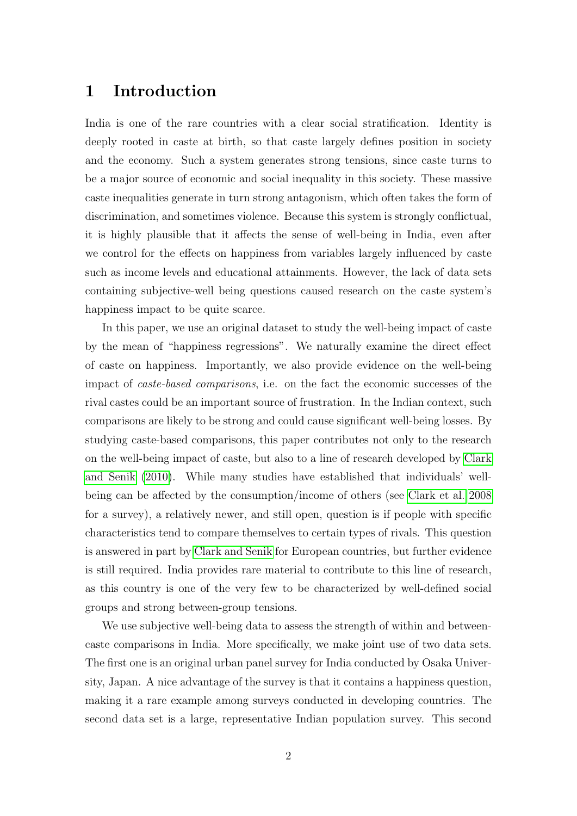### 1 Introduction

India is one of the rare countries with a clear social stratification. Identity is deeply rooted in caste at birth, so that caste largely defines position in society and the economy. Such a system generates strong tensions, since caste turns to be a major source of economic and social inequality in this society. These massive caste inequalities generate in turn strong antagonism, which often takes the form of discrimination, and sometimes violence. Because this system is strongly conflictual, it is highly plausible that it affects the sense of well-being in India, even after we control for the effects on happiness from variables largely influenced by caste such as income levels and educational attainments. However, the lack of data sets containing subjective-well being questions caused research on the caste system's happiness impact to be quite scarce.

In this paper, we use an original dataset to study the well-being impact of caste by the mean of "happiness regressions". We naturally examine the direct effect of caste on happiness. Importantly, we also provide evidence on the well-being impact of caste-based comparisons, i.e. on the fact the economic successes of the rival castes could be an important source of frustration. In the Indian context, such comparisons are likely to be strong and could cause significant well-being losses. By studying caste-based comparisons, this paper contributes not only to the research on the well-being impact of caste, but also to a line of research developed by [Clark](#page-21-0) [and Senik](#page-21-0) [\(2010\)](#page-21-0). While many studies have established that individuals' wellbeing can be affected by the consumption/income of others (see [Clark et al. 2008](#page-20-0) for a survey), a relatively newer, and still open, question is if people with specific characteristics tend to compare themselves to certain types of rivals. This question is answered in part by [Clark and Senik](#page-21-0) for European countries, but further evidence is still required. India provides rare material to contribute to this line of research, as this country is one of the very few to be characterized by well-defined social groups and strong between-group tensions.

We use subjective well-being data to assess the strength of within and betweencaste comparisons in India. More specifically, we make joint use of two data sets. The first one is an original urban panel survey for India conducted by Osaka University, Japan. A nice advantage of the survey is that it contains a happiness question, making it a rare example among surveys conducted in developing countries. The second data set is a large, representative Indian population survey. This second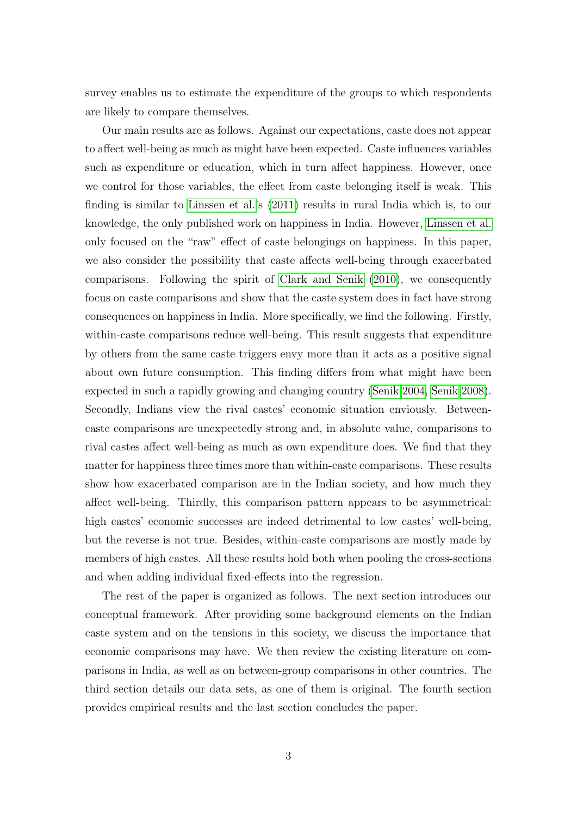survey enables us to estimate the expenditure of the groups to which respondents are likely to compare themselves.

Our main results are as follows. Against our expectations, caste does not appear to affect well-being as much as might have been expected. Caste influences variables such as expenditure or education, which in turn affect happiness. However, once we control for those variables, the effect from caste belonging itself is weak. This finding is similar to [Linssen et al.'](#page-22-0)s [\(2011\)](#page-22-0) results in rural India which is, to our knowledge, the only published work on happiness in India. However, [Linssen et al.](#page-22-0) only focused on the "raw" effect of caste belongings on happiness. In this paper, we also consider the possibility that caste affects well-being through exacerbated comparisons. Following the spirit of [Clark and Senik](#page-21-0) [\(2010\)](#page-21-0), we consequently focus on caste comparisons and show that the caste system does in fact have strong consequences on happiness in India. More specifically, we find the following. Firstly, within-caste comparisons reduce well-being. This result suggests that expenditure by others from the same caste triggers envy more than it acts as a positive signal about own future consumption. This finding differs from what might have been expected in such a rapidly growing and changing country [\(Senik 2004,](#page-22-1) [Senik 2008\)](#page-22-2). Secondly, Indians view the rival castes' economic situation enviously. Betweencaste comparisons are unexpectedly strong and, in absolute value, comparisons to rival castes affect well-being as much as own expenditure does. We find that they matter for happiness three times more than within-caste comparisons. These results show how exacerbated comparison are in the Indian society, and how much they affect well-being. Thirdly, this comparison pattern appears to be asymmetrical: high castes' economic successes are indeed detrimental to low castes' well-being, but the reverse is not true. Besides, within-caste comparisons are mostly made by members of high castes. All these results hold both when pooling the cross-sections and when adding individual fixed-effects into the regression.

The rest of the paper is organized as follows. The next section introduces our conceptual framework. After providing some background elements on the Indian caste system and on the tensions in this society, we discuss the importance that economic comparisons may have. We then review the existing literature on comparisons in India, as well as on between-group comparisons in other countries. The third section details our data sets, as one of them is original. The fourth section provides empirical results and the last section concludes the paper.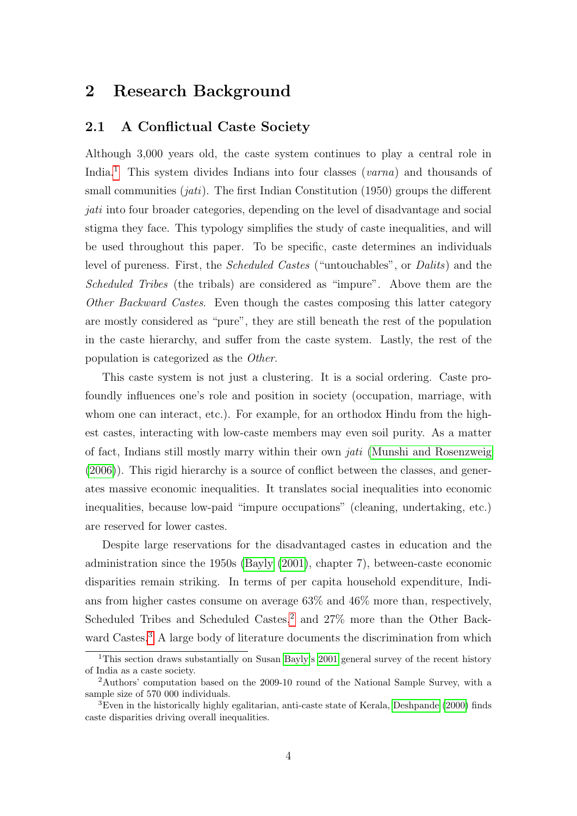### 2 Research Background

#### <span id="page-3-0"></span>2.1 A Conflictual Caste Society

Although 3,000 years old, the caste system continues to play a central role in India.<sup>[1](#page-0-0)</sup> This system divides Indians into four classes (varna) and thousands of small communities  $(jati)$ . The first Indian Constitution (1950) groups the different jati into four broader categories, depending on the level of disadvantage and social stigma they face. This typology simplifies the study of caste inequalities, and will be used throughout this paper. To be specific, caste determines an individuals level of pureness. First, the Scheduled Castes ("untouchables", or Dalits) and the Scheduled Tribes (the tribals) are considered as "impure". Above them are the Other Backward Castes. Even though the castes composing this latter category are mostly considered as "pure", they are still beneath the rest of the population in the caste hierarchy, and suffer from the caste system. Lastly, the rest of the population is categorized as the Other.

This caste system is not just a clustering. It is a social ordering. Caste profoundly influences one's role and position in society (occupation, marriage, with whom one can interact, etc.). For example, for an orthodox Hindu from the highest castes, interacting with low-caste members may even soil purity. As a matter of fact, Indians still mostly marry within their own jati [\(Munshi and Rosenzweig](#page-22-3) [\(2006\)](#page-22-3)). This rigid hierarchy is a source of conflict between the classes, and generates massive economic inequalities. It translates social inequalities into economic inequalities, because low-paid "impure occupations" (cleaning, undertaking, etc.) are reserved for lower castes.

Despite large reservations for the disadvantaged castes in education and the administration since the 1950s [\(Bayly](#page-20-1) [\(2001\)](#page-20-1), chapter 7), between-caste economic disparities remain striking. In terms of per capita household expenditure, Indians from higher castes consume on average 63% and 46% more than, respectively, Scheduled Tribes and Scheduled Castes, $2$  and  $27\%$  more than the Other Back-ward Castes.<sup>[3](#page-0-0)</sup> A large body of literature documents the discrimination from which

<sup>1</sup>This section draws substantially on Susan [Bayly'](#page-20-1)s [2001](#page-20-1) general survey of the recent history of India as a caste society.

<sup>2</sup>Authors' computation based on the 2009-10 round of the National Sample Survey, with a sample size of 570 000 individuals.

 ${}^{3}$ Even in the historically highly egalitarian, anti-caste state of Kerala, [Deshpande](#page-21-1) [\(2000\)](#page-21-1) finds caste disparities driving overall inequalities.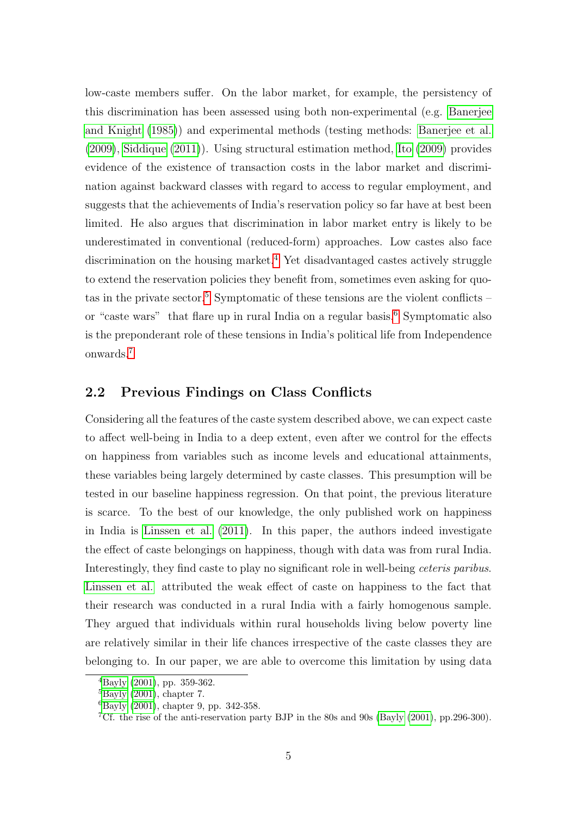low-caste members suffer. On the labor market, for example, the persistency of this discrimination has been assessed using both non-experimental (e.g. [Banerjee](#page-20-2) [and Knight](#page-20-2) [\(1985\)](#page-20-2)) and experimental methods (testing methods: [Banerjee et al.](#page-20-3) [\(2009\)](#page-20-3), [Siddique](#page-22-4) [\(2011\)](#page-22-4)). Using structural estimation method, [Ito](#page-21-2) [\(2009\)](#page-21-2) provides evidence of the existence of transaction costs in the labor market and discrimination against backward classes with regard to access to regular employment, and suggests that the achievements of India's reservation policy so far have at best been limited. He also argues that discrimination in labor market entry is likely to be underestimated in conventional (reduced-form) approaches. Low castes also face discrimination on the housing market.<sup>[4](#page-0-0)</sup> Yet disadvantaged castes actively struggle to extend the reservation policies they benefit from, sometimes even asking for quo-tas in the private sector.<sup>[5](#page-0-0)</sup> Symptomatic of these tensions are the violent conflicts – or "caste wars" that flare up in rural India on a regular basis.[6](#page-0-0) Symptomatic also is the preponderant role of these tensions in India's political life from Independence onwards.[7](#page-0-0)

### <span id="page-4-0"></span>2.2 Previous Findings on Class Conflicts

Considering all the features of the caste system described above, we can expect caste to affect well-being in India to a deep extent, even after we control for the effects on happiness from variables such as income levels and educational attainments, these variables being largely determined by caste classes. This presumption will be tested in our baseline happiness regression. On that point, the previous literature is scarce. To the best of our knowledge, the only published work on happiness in India is [Linssen et al.](#page-22-0) [\(2011\)](#page-22-0). In this paper, the authors indeed investigate the effect of caste belongings on happiness, though with data was from rural India. Interestingly, they find caste to play no significant role in well-being ceteris paribus. [Linssen et al.](#page-22-0) attributed the weak effect of caste on happiness to the fact that their research was conducted in a rural India with a fairly homogenous sample. They argued that individuals within rural households living below poverty line are relatively similar in their life chances irrespective of the caste classes they are belonging to. In our paper, we are able to overcome this limitation by using data

 ${}^{4}$ [Bayly](#page-20-1) [\(2001\)](#page-20-1), pp. 359-362.

 ${}^{5}$ [Bayly](#page-20-1) [\(2001\)](#page-20-1), chapter 7.

<sup>6</sup>[Bayly](#page-20-1) [\(2001\)](#page-20-1), chapter 9, pp. 342-358.

<sup>7</sup>Cf. the rise of the anti-reservation party BJP in the 80s and 90s [\(Bayly](#page-20-1) [\(2001\)](#page-20-1), pp.296-300).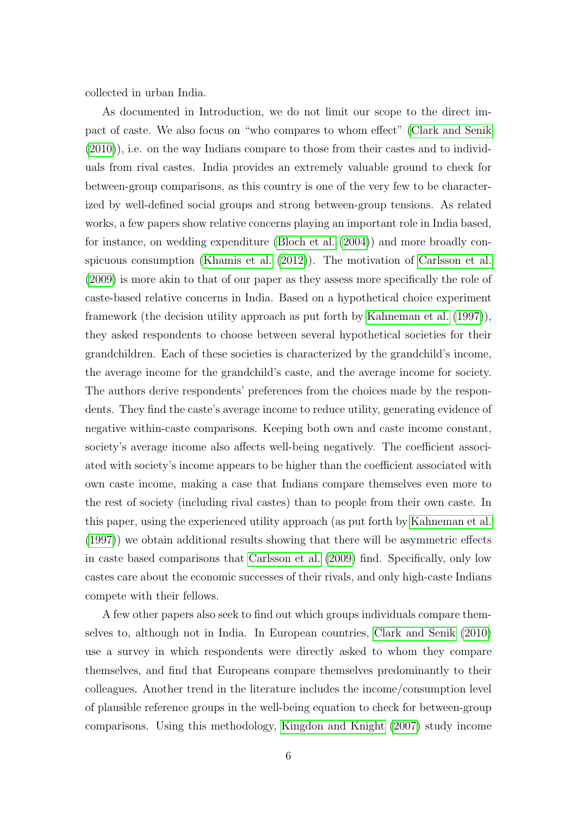collected in urban India.

As documented in Introduction, we do not limit our scope to the direct impact of caste. We also focus on "who compares to whom effect" [\(Clark and Senik](#page-21-0)  $(2010)$ , i.e. on the way Indians compare to those from their castes and to individuals from rival castes. India provides an extremely valuable ground to check for between-group comparisons, as this country is one of the very few to be characterized by well-defined social groups and strong between-group tensions. As related works, a few papers show relative concerns playing an important role in India based, for instance, on wedding expenditure [\(Bloch et al.](#page-20-4) [\(2004\)](#page-20-4)) and more broadly conspicuous consumption [\(Khamis et al.](#page-22-5) [\(2012\)](#page-22-5)). The motivation of [Carlsson et al.](#page-20-5) [\(2009\)](#page-20-5) is more akin to that of our paper as they assess more specifically the role of caste-based relative concerns in India. Based on a hypothetical choice experiment framework (the decision utility approach as put forth by [Kahneman et al.](#page-21-3) [\(1997\)](#page-21-3)), they asked respondents to choose between several hypothetical societies for their grandchildren. Each of these societies is characterized by the grandchild's income, the average income for the grandchild's caste, and the average income for society. The authors derive respondents' preferences from the choices made by the respondents. They find the caste's average income to reduce utility, generating evidence of negative within-caste comparisons. Keeping both own and caste income constant, society's average income also affects well-being negatively. The coefficient associated with society's income appears to be higher than the coefficient associated with own caste income, making a case that Indians compare themselves even more to the rest of society (including rival castes) than to people from their own caste. In this paper, using the experienced utility approach (as put forth by [Kahneman et al.](#page-21-3) [\(1997\)](#page-21-3)) we obtain additional results showing that there will be asymmetric effects in caste based comparisons that [Carlsson et al.](#page-20-5) [\(2009\)](#page-20-5) find. Specifically, only low castes care about the economic successes of their rivals, and only high-caste Indians compete with their fellows.

A few other papers also seek to find out which groups individuals compare themselves to, although not in India. In European countries, [Clark and Senik](#page-21-0) [\(2010\)](#page-21-0) use a survey in which respondents were directly asked to whom they compare themselves, and find that Europeans compare themselves predominantly to their colleagues. Another trend in the literature includes the income/consumption level of plausible reference groups in the well-being equation to check for between-group comparisons. Using this methodology, [Kingdon and Knight](#page-22-6) [\(2007\)](#page-22-6) study income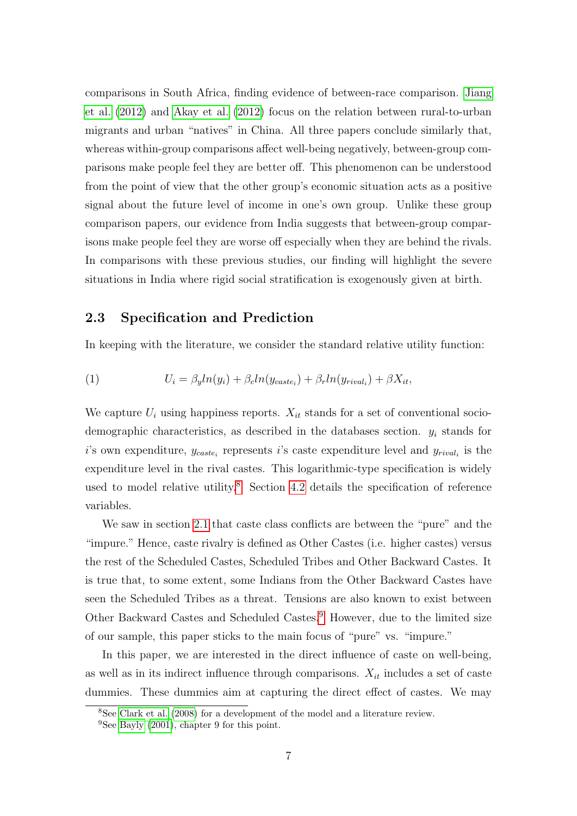comparisons in South Africa, finding evidence of between-race comparison. [Jiang](#page-21-4) [et al.](#page-21-4) [\(2012\)](#page-21-4) and [Akay et al.](#page-20-6) [\(2012\)](#page-20-6) focus on the relation between rural-to-urban migrants and urban "natives" in China. All three papers conclude similarly that, whereas within-group comparisons affect well-being negatively, between-group comparisons make people feel they are better off. This phenomenon can be understood from the point of view that the other group's economic situation acts as a positive signal about the future level of income in one's own group. Unlike these group comparison papers, our evidence from India suggests that between-group comparisons make people feel they are worse off especially when they are behind the rivals. In comparisons with these previous studies, our finding will highlight the severe situations in India where rigid social stratification is exogenously given at birth.

### <span id="page-6-0"></span>2.3 Specification and Prediction

In keeping with the literature, we consider the standard relative utility function:

(1) 
$$
U_i = \beta_y ln(y_i) + \beta_c ln(y_{\text{case}_i}) + \beta_r ln(y_{\text{rival}_i}) + \beta X_{it},
$$

We capture  $U_i$  using happiness reports.  $X_{it}$  stands for a set of conventional sociodemographic characteristics, as described in the databases section.  $y_i$  stands for i's own expenditure,  $y_{\text{case}_i}$  represents i's caste expenditure level and  $y_{\text{rival}_i}$  is the expenditure level in the rival castes. This logarithmic-type specification is widely used to model relative utility.<sup>[8](#page-0-0)</sup> Section [4.2](#page-14-0) details the specification of reference variables.

We saw in section [2.1](#page-3-0) that caste class conflicts are between the "pure" and the "impure." Hence, caste rivalry is defined as Other Castes (i.e. higher castes) versus the rest of the Scheduled Castes, Scheduled Tribes and Other Backward Castes. It is true that, to some extent, some Indians from the Other Backward Castes have seen the Scheduled Tribes as a threat. Tensions are also known to exist between Other Backward Castes and Scheduled Castes.[9](#page-0-0) However, due to the limited size of our sample, this paper sticks to the main focus of "pure" vs. "impure."

In this paper, we are interested in the direct influence of caste on well-being, as well as in its indirect influence through comparisons.  $X_{it}$  includes a set of caste dummies. These dummies aim at capturing the direct effect of castes. We may

<sup>8</sup>See [Clark et al.](#page-20-0) [\(2008\)](#page-20-0) for a development of the model and a literature review.

<sup>9</sup>See [Bayly](#page-20-1) [\(2001\)](#page-20-1), chapter 9 for this point.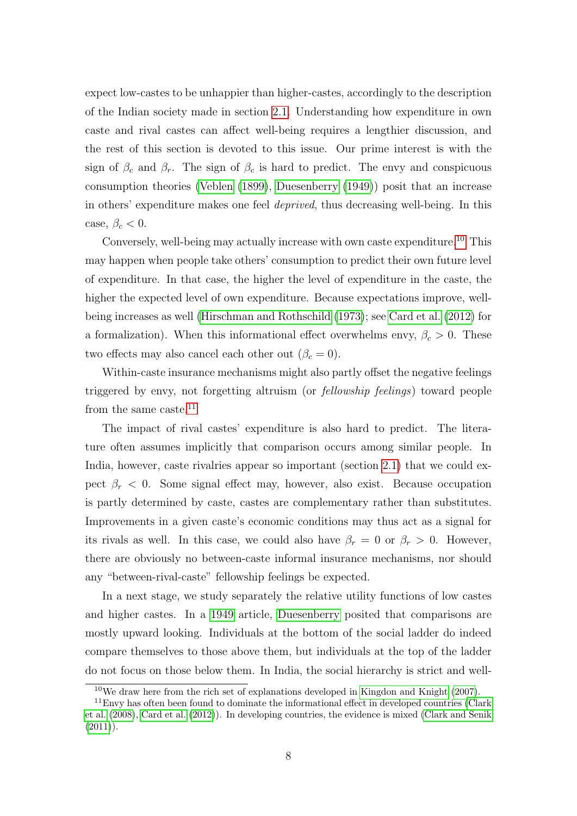expect low-castes to be unhappier than higher-castes, accordingly to the description of the Indian society made in section [2.1.](#page-3-0) Understanding how expenditure in own caste and rival castes can affect well-being requires a lengthier discussion, and the rest of this section is devoted to this issue. Our prime interest is with the sign of  $\beta_c$  and  $\beta_r$ . The sign of  $\beta_c$  is hard to predict. The envy and conspicuous consumption theories [\(Veblen](#page-22-7) [\(1899\)](#page-22-7), [Duesenberry](#page-21-5) [\(1949\)](#page-21-5)) posit that an increase in others' expenditure makes one feel deprived, thus decreasing well-being. In this case,  $\beta_c < 0$ .

Conversely, well-being may actually increase with own caste expenditure.<sup>[10](#page-0-0)</sup> This may happen when people take others' consumption to predict their own future level of expenditure. In that case, the higher the level of expenditure in the caste, the higher the expected level of own expenditure. Because expectations improve, wellbeing increases as well [\(Hirschman and Rothschild](#page-21-6) [\(1973\)](#page-21-6); see [Card et al.](#page-20-7) [\(2012\)](#page-20-7) for a formalization). When this informational effect overwhelms envy,  $\beta_c > 0$ . These two effects may also cancel each other out  $(\beta_c = 0)$ .

Within-caste insurance mechanisms might also partly offset the negative feelings triggered by envy, not forgetting altruism (or fellowship feelings) toward people from the same caste.<sup>[11](#page-0-0)</sup>

The impact of rival castes' expenditure is also hard to predict. The literature often assumes implicitly that comparison occurs among similar people. In India, however, caste rivalries appear so important (section [2.1\)](#page-3-0) that we could expect  $\beta_r < 0$ . Some signal effect may, however, also exist. Because occupation is partly determined by caste, castes are complementary rather than substitutes. Improvements in a given caste's economic conditions may thus act as a signal for its rivals as well. In this case, we could also have  $\beta_r = 0$  or  $\beta_r > 0$ . However, there are obviously no between-caste informal insurance mechanisms, nor should any "between-rival-caste" fellowship feelings be expected.

In a next stage, we study separately the relative utility functions of low castes and higher castes. In a [1949](#page-21-5) article, [Duesenberry](#page-21-5) posited that comparisons are mostly upward looking. Individuals at the bottom of the social ladder do indeed compare themselves to those above them, but individuals at the top of the ladder do not focus on those below them. In India, the social hierarchy is strict and well-

 $10$ We draw here from the rich set of explanations developed in [Kingdon and Knight](#page-22-6) [\(2007\)](#page-22-6).

 $11$ Envy has often been found to dominate the informational effect in developed countries [\(Clark](#page-20-0) [et al.](#page-20-0) [\(2008\)](#page-20-0), [Card et al.](#page-20-7) [\(2012\)](#page-20-7)). In developing countries, the evidence is mixed [\(Clark and Senik](#page-21-7)  $(2011)$ .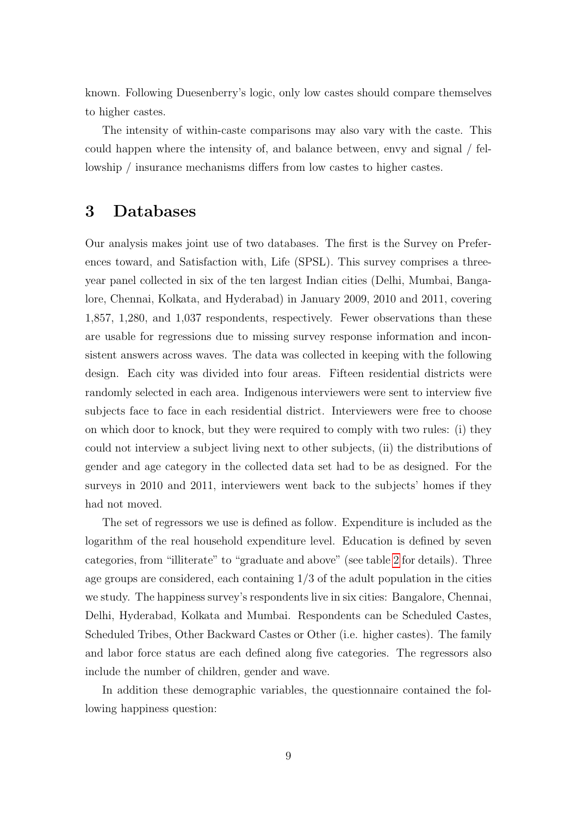known. Following Duesenberry's logic, only low castes should compare themselves to higher castes.

The intensity of within-caste comparisons may also vary with the caste. This could happen where the intensity of, and balance between, envy and signal / fellowship / insurance mechanisms differs from low castes to higher castes.

### <span id="page-8-0"></span>3 Databases

Our analysis makes joint use of two databases. The first is the Survey on Preferences toward, and Satisfaction with, Life (SPSL). This survey comprises a threeyear panel collected in six of the ten largest Indian cities (Delhi, Mumbai, Bangalore, Chennai, Kolkata, and Hyderabad) in January 2009, 2010 and 2011, covering 1,857, 1,280, and 1,037 respondents, respectively. Fewer observations than these are usable for regressions due to missing survey response information and inconsistent answers across waves. The data was collected in keeping with the following design. Each city was divided into four areas. Fifteen residential districts were randomly selected in each area. Indigenous interviewers were sent to interview five subjects face to face in each residential district. Interviewers were free to choose on which door to knock, but they were required to comply with two rules: (i) they could not interview a subject living next to other subjects, (ii) the distributions of gender and age category in the collected data set had to be as designed. For the surveys in 2010 and 2011, interviewers went back to the subjects' homes if they had not moved.

The set of regressors we use is defined as follow. Expenditure is included as the logarithm of the real household expenditure level. Education is defined by seven categories, from "illiterate" to "graduate and above" (see table [2](#page-13-0) for details). Three age groups are considered, each containing 1/3 of the adult population in the cities we study. The happiness survey's respondents live in six cities: Bangalore, Chennai, Delhi, Hyderabad, Kolkata and Mumbai. Respondents can be Scheduled Castes, Scheduled Tribes, Other Backward Castes or Other (i.e. higher castes). The family and labor force status are each defined along five categories. The regressors also include the number of children, gender and wave.

In addition these demographic variables, the questionnaire contained the following happiness question: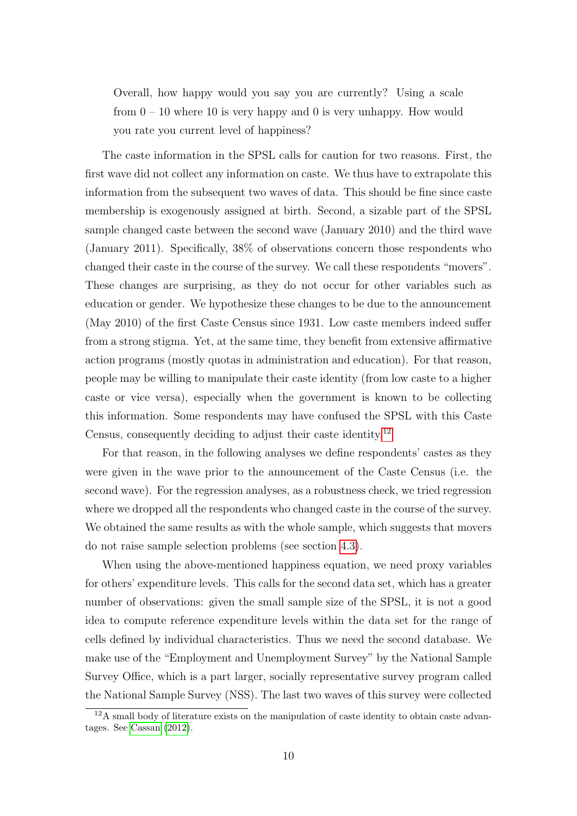Overall, how happy would you say you are currently? Using a scale from  $0 - 10$  where 10 is very happy and 0 is very unhappy. How would you rate you current level of happiness?

The caste information in the SPSL calls for caution for two reasons. First, the first wave did not collect any information on caste. We thus have to extrapolate this information from the subsequent two waves of data. This should be fine since caste membership is exogenously assigned at birth. Second, a sizable part of the SPSL sample changed caste between the second wave (January 2010) and the third wave (January 2011). Specifically, 38% of observations concern those respondents who changed their caste in the course of the survey. We call these respondents "movers". These changes are surprising, as they do not occur for other variables such as education or gender. We hypothesize these changes to be due to the announcement (May 2010) of the first Caste Census since 1931. Low caste members indeed suffer from a strong stigma. Yet, at the same time, they benefit from extensive affirmative action programs (mostly quotas in administration and education). For that reason, people may be willing to manipulate their caste identity (from low caste to a higher caste or vice versa), especially when the government is known to be collecting this information. Some respondents may have confused the SPSL with this Caste Census, consequently deciding to adjust their caste identity.[12](#page-0-0)

For that reason, in the following analyses we define respondents' castes as they were given in the wave prior to the announcement of the Caste Census (i.e. the second wave). For the regression analyses, as a robustness check, we tried regression where we dropped all the respondents who changed caste in the course of the survey. We obtained the same results as with the whole sample, which suggests that movers do not raise sample selection problems (see section [4.3\)](#page-17-0).

When using the above-mentioned happiness equation, we need proxy variables for others' expenditure levels. This calls for the second data set, which has a greater number of observations: given the small sample size of the SPSL, it is not a good idea to compute reference expenditure levels within the data set for the range of cells defined by individual characteristics. Thus we need the second database. We make use of the "Employment and Unemployment Survey" by the National Sample Survey Office, which is a part larger, socially representative survey program called the National Sample Survey (NSS). The last two waves of this survey were collected

 $12A$  small body of literature exists on the manipulation of caste identity to obtain caste advantages. See [Cassan](#page-20-8) [\(2012\)](#page-20-8).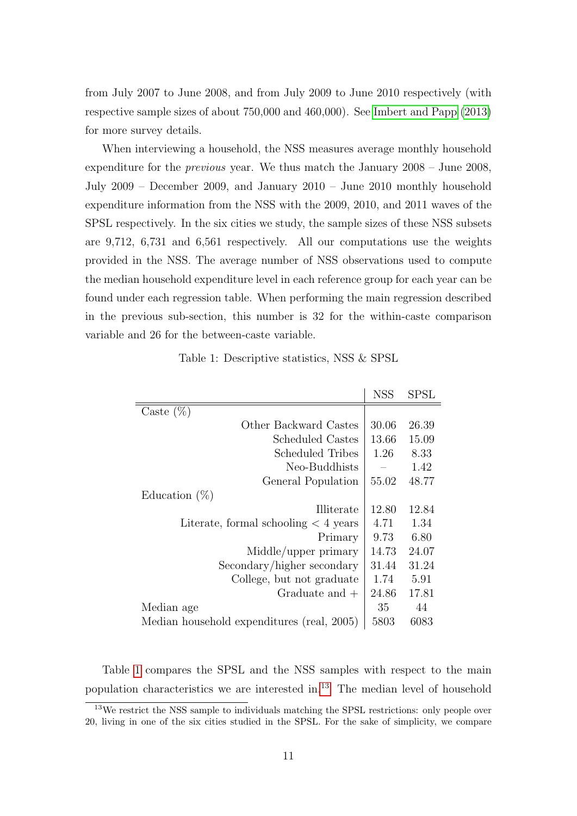from July 2007 to June 2008, and from July 2009 to June 2010 respectively (with respective sample sizes of about 750,000 and 460,000). See [Imbert and Papp](#page-21-8) [\(2013\)](#page-21-8) for more survey details.

When interviewing a household, the NSS measures average monthly household expenditure for the previous year. We thus match the January 2008 – June 2008, July 2009 – December 2009, and January 2010 – June 2010 monthly household expenditure information from the NSS with the 2009, 2010, and 2011 waves of the SPSL respectively. In the six cities we study, the sample sizes of these NSS subsets are 9,712, 6,731 and 6,561 respectively. All our computations use the weights provided in the NSS. The average number of NSS observations used to compute the median household expenditure level in each reference group for each year can be found under each regression table. When performing the main regression described in the previous sub-section, this number is 32 for the within-caste comparison variable and 26 for the between-caste variable.

Table 1: Descriptive statistics, NSS & SPSL

<span id="page-10-0"></span>

|                                            | <b>NSS</b> | ${\rm SPSL}$ |
|--------------------------------------------|------------|--------------|
| Caste $(\%)$                               |            |              |
| Other Backward Castes                      | 30.06      | 26.39        |
| Scheduled Castes                           | 13.66      | 15.09        |
| Scheduled Tribes                           | 1.26       | 8.33         |
| Neo-Buddhists                              |            | 1.42         |
| General Population                         | 55.02      | 48.77        |
| Education $(\%)$                           |            |              |
| Illiterate                                 | 12.80      | 12.84        |
| Literate, formal schooling $<$ 4 years     | 4.71       | 1.34         |
| Primary                                    | 9.73       | 6.80         |
| Middle/upper primary                       | 14.73      | 24.07        |
| Secondary/higher secondary                 | 31.44      | 31.24        |
| College, but not graduate                  | 1.74       | 5.91         |
| Graduate and $+$                           | 24.86      | 17.81        |
| Median age                                 | 35         | 44           |
| Median household expenditures (real, 2005) | 5803       | 6083         |

Table [1](#page-10-0) compares the SPSL and the NSS samples with respect to the main population characteristics we are interested in.[13](#page-0-0) The median level of household

<sup>&</sup>lt;sup>13</sup>We restrict the NSS sample to individuals matching the SPSL restrictions: only people over 20, living in one of the six cities studied in the SPSL. For the sake of simplicity, we compare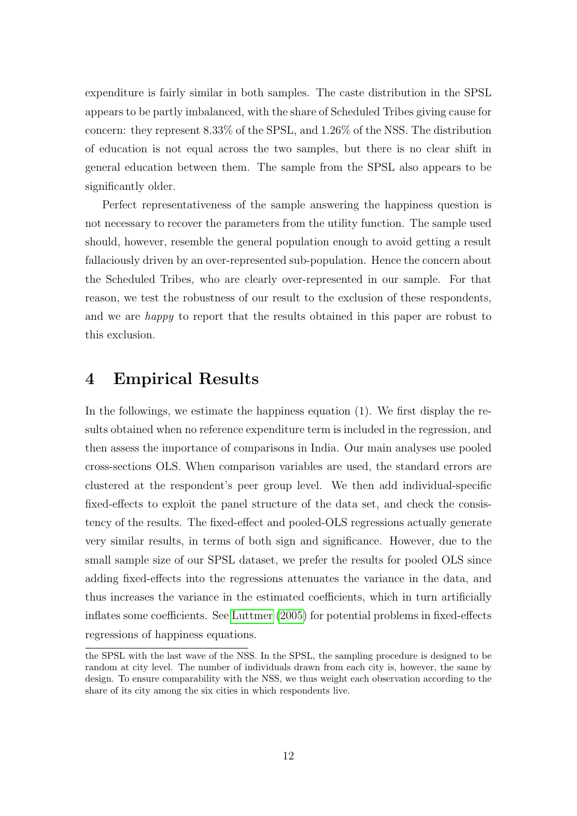expenditure is fairly similar in both samples. The caste distribution in the SPSL appears to be partly imbalanced, with the share of Scheduled Tribes giving cause for concern: they represent 8.33% of the SPSL, and 1.26% of the NSS. The distribution of education is not equal across the two samples, but there is no clear shift in general education between them. The sample from the SPSL also appears to be significantly older.

Perfect representativeness of the sample answering the happiness question is not necessary to recover the parameters from the utility function. The sample used should, however, resemble the general population enough to avoid getting a result fallaciously driven by an over-represented sub-population. Hence the concern about the Scheduled Tribes, who are clearly over-represented in our sample. For that reason, we test the robustness of our result to the exclusion of these respondents, and we are happy to report that the results obtained in this paper are robust to this exclusion.

## 4 Empirical Results

In the followings, we estimate the happiness equation (1). We first display the results obtained when no reference expenditure term is included in the regression, and then assess the importance of comparisons in India. Our main analyses use pooled cross-sections OLS. When comparison variables are used, the standard errors are clustered at the respondent's peer group level. We then add individual-specific fixed-effects to exploit the panel structure of the data set, and check the consistency of the results. The fixed-effect and pooled-OLS regressions actually generate very similar results, in terms of both sign and significance. However, due to the small sample size of our SPSL dataset, we prefer the results for pooled OLS since adding fixed-effects into the regressions attenuates the variance in the data, and thus increases the variance in the estimated coefficients, which in turn artificially inflates some coefficients. See [Luttmer](#page-22-8) [\(2005\)](#page-22-8) for potential problems in fixed-effects regressions of happiness equations.

the SPSL with the last wave of the NSS. In the SPSL, the sampling procedure is designed to be random at city level. The number of individuals drawn from each city is, however, the same by design. To ensure comparability with the NSS, we thus weight each observation according to the share of its city among the six cities in which respondents live.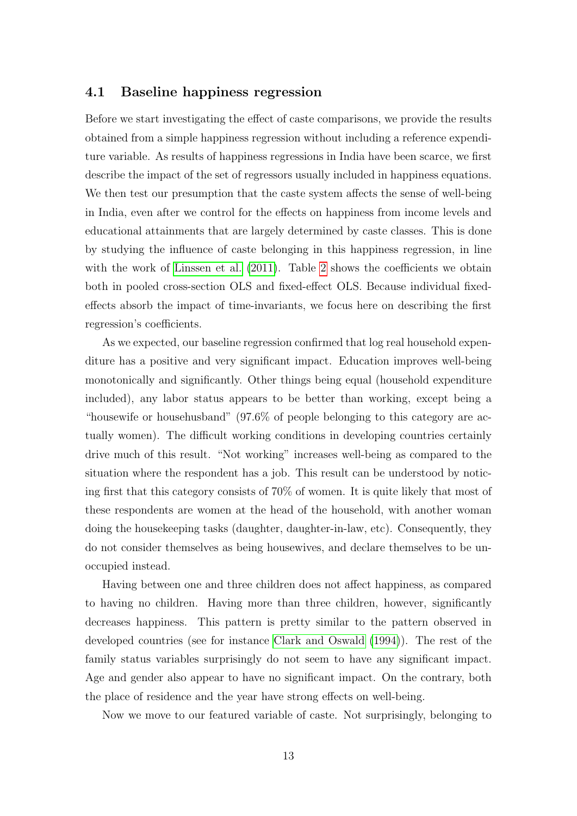#### 4.1 Baseline happiness regression

Before we start investigating the effect of caste comparisons, we provide the results obtained from a simple happiness regression without including a reference expenditure variable. As results of happiness regressions in India have been scarce, we first describe the impact of the set of regressors usually included in happiness equations. We then test our presumption that the caste system affects the sense of well-being in India, even after we control for the effects on happiness from income levels and educational attainments that are largely determined by caste classes. This is done by studying the influence of caste belonging in this happiness regression, in line with the work of [Linssen et al.](#page-22-0) [\(2011\)](#page-22-0). Table [2](#page-13-0) shows the coefficients we obtain both in pooled cross-section OLS and fixed-effect OLS. Because individual fixedeffects absorb the impact of time-invariants, we focus here on describing the first regression's coefficients.

As we expected, our baseline regression confirmed that log real household expenditure has a positive and very significant impact. Education improves well-being monotonically and significantly. Other things being equal (household expenditure included), any labor status appears to be better than working, except being a "housewife or househusband" (97.6% of people belonging to this category are actually women). The difficult working conditions in developing countries certainly drive much of this result. "Not working" increases well-being as compared to the situation where the respondent has a job. This result can be understood by noticing first that this category consists of 70% of women. It is quite likely that most of these respondents are women at the head of the household, with another woman doing the housekeeping tasks (daughter, daughter-in-law, etc). Consequently, they do not consider themselves as being housewives, and declare themselves to be unoccupied instead.

Having between one and three children does not affect happiness, as compared to having no children. Having more than three children, however, significantly decreases happiness. This pattern is pretty similar to the pattern observed in developed countries (see for instance [Clark and Oswald](#page-21-9) [\(1994\)](#page-21-9)). The rest of the family status variables surprisingly do not seem to have any significant impact. Age and gender also appear to have no significant impact. On the contrary, both the place of residence and the year have strong effects on well-being.

Now we move to our featured variable of caste. Not surprisingly, belonging to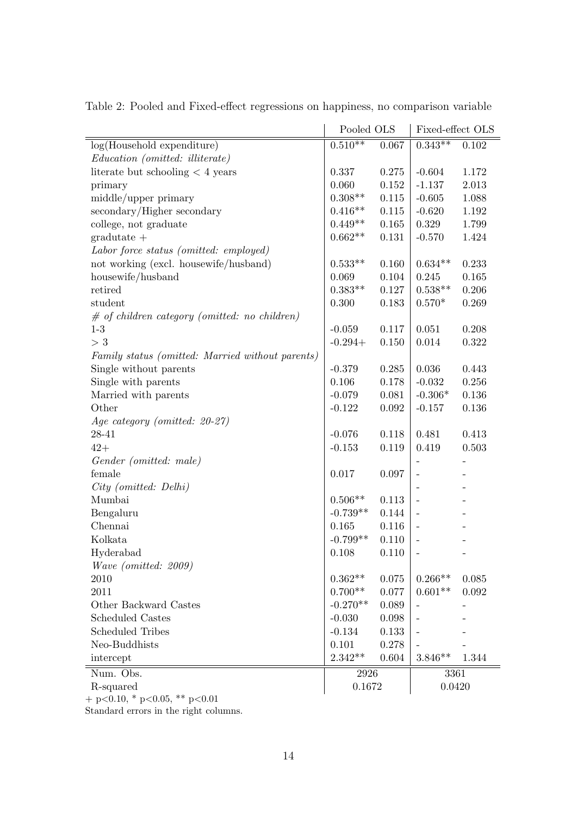|                                                  | Pooled OLS   |           | Fixed-effect OLS         |       |
|--------------------------------------------------|--------------|-----------|--------------------------|-------|
| log(Household expenditure)                       | $0.510^{**}$ | 0.067     | $0.343**$                | 0.102 |
| Education (omitted: illiterate)                  |              |           |                          |       |
| literate but schooling $<$ 4 years               | 0.337        | 0.275     | $-0.604$                 | 1.172 |
| primary                                          | 0.060        | $0.152\,$ | $-1.137$                 | 2.013 |
| middle/upper primary                             | $0.308**$    | 0.115     | $-0.605$                 | 1.088 |
| secondary/Higher secondary                       | $0.416**$    | 0.115     | $-0.620$                 | 1.192 |
| college, not graduate                            | $0.449**$    | 0.165     | 0.329                    | 1.799 |
| $gradutate +$                                    | $0.662**$    | 0.131     | $-0.570$                 | 1.424 |
| Labor force status (omitted: employed)           |              |           |                          |       |
| not working (excl. housewife/husband)            | $0.533**$    | 0.160     | $0.634**$                | 0.233 |
| housewife/husband                                | 0.069        | 0.104     | 0.245                    | 0.165 |
| retired                                          | $0.383**$    | 0.127     | $0.538**$                | 0.206 |
| student                                          | 0.300        | 0.183     | $0.570*$                 | 0.269 |
| $\#$ of children category (omitted: no children) |              |           |                          |       |
| $1-3$                                            | $-0.059$     | 0.117     | 0.051                    | 0.208 |
| $>$ 3                                            | $-0.294+$    | 0.150     | 0.014                    | 0.322 |
| Family status (omitted: Married without parents) |              |           |                          |       |
| Single without parents                           | $-0.379$     | 0.285     | 0.036                    | 0.443 |
| Single with parents                              | 0.106        | 0.178     | $-0.032$                 | 0.256 |
| Married with parents                             | $-0.079$     | 0.081     | $-0.306*$                | 0.136 |
| Other                                            | $-0.122$     | 0.092     | $-0.157$                 | 0.136 |
| Age category (omitted: 20-27)                    |              |           |                          |       |
| 28-41                                            | $-0.076$     | 0.118     | 0.481                    | 0.413 |
| $42+$                                            | $-0.153$     | 0.119     | 0.419                    | 0.503 |
| Gender (omitted: male)                           |              |           |                          |       |
| female                                           | 0.017        | 0.097     | $\overline{\phantom{0}}$ |       |
| City (omitted: Delhi)                            |              |           |                          |       |
| Mumbai                                           | $0.506**$    | 0.113     | $\overline{\phantom{0}}$ |       |
| Bengaluru                                        | $-0.739**$   | 0.144     | $\overline{\phantom{0}}$ |       |
| Chennai                                          | 0.165        | 0.116     |                          |       |
| Kolkata                                          | $-0.799**$   | 0.110     | $\overline{\phantom{0}}$ |       |
| Hyderabad                                        | 0.108        | 0.110     | $\overline{\phantom{0}}$ |       |
| Wave (omitted: 2009)                             |              |           |                          |       |
| 2010                                             | $0.362**$    | 0.075     | $0.266**$                | 0.085 |
| 2011                                             | $0.700**$    | 0.077     | $0.601**$                | 0.092 |
| Other Backward Castes                            | $-0.270**$   | 0.089     | $\overline{\phantom{0}}$ |       |
| <b>Scheduled Castes</b>                          | $-0.030$     | 0.098     | $\overline{\phantom{0}}$ |       |
| <b>Scheduled Tribes</b>                          | $-0.134$     | 0.133     |                          |       |
| Neo-Buddhists                                    | 0.101        | 0.278     |                          |       |
| intercept                                        | $2.342**$    | 0.604     | $3.846**$                | 1.344 |
| Num. Obs.                                        | 2926         |           | 3361                     |       |
| R-squared                                        | 0.1672       |           | 0.0420                   |       |
|                                                  |              |           |                          |       |

<span id="page-13-0"></span>Table 2: Pooled and Fixed-effect regressions on happiness, no comparison variable

 $+$  p<0.10, \* p<0.05, \*\* p<0.01

Standard errors in the right columns.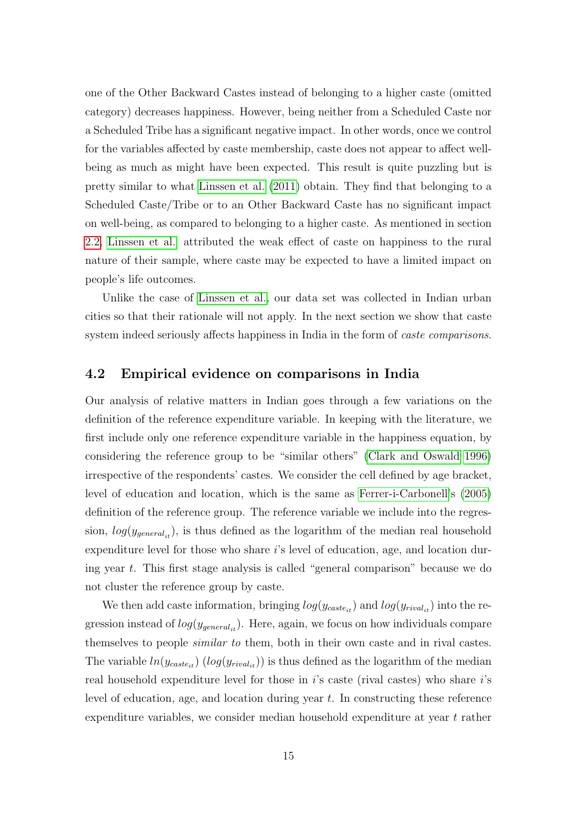one of the Other Backward Castes instead of belonging to a higher caste (omitted category) decreases happiness. However, being neither from a Scheduled Caste nor a Scheduled Tribe has a significant negative impact. In other words, once we control for the variables affected by caste membership, caste does not appear to affect wellbeing as much as might have been expected. This result is quite puzzling but is pretty similar to what [Linssen et al.](#page-22-0) [\(2011\)](#page-22-0) obtain. They find that belonging to a Scheduled Caste/Tribe or to an Other Backward Caste has no significant impact on well-being, as compared to belonging to a higher caste. As mentioned in section [2.2,](#page-4-0) [Linssen et al.](#page-22-0) attributed the weak effect of caste on happiness to the rural nature of their sample, where caste may be expected to have a limited impact on people's life outcomes.

Unlike the case of [Linssen et al.,](#page-22-0) our data set was collected in Indian urban cities so that their rationale will not apply. In the next section we show that caste system indeed seriously affects happiness in India in the form of caste comparisons.

#### <span id="page-14-0"></span>4.2 Empirical evidence on comparisons in India

Our analysis of relative matters in Indian goes through a few variations on the definition of the reference expenditure variable. In keeping with the literature, we first include only one reference expenditure variable in the happiness equation, by considering the reference group to be "similar others" [\(Clark and Oswald 1996\)](#page-21-10) irrespective of the respondents' castes. We consider the cell defined by age bracket, level of education and location, which is the same as [Ferrer-i-Carbonell'](#page-21-11)s [\(2005\)](#page-21-11) definition of the reference group. The reference variable we include into the regression,  $log(y_{general_{it}})$ , is thus defined as the logarithm of the median real household expenditure level for those who share is level of education, age, and location during year t. This first stage analysis is called "general comparison" because we do not cluster the reference group by caste.

We then add caste information, bringing  $log(y_{\text{castet}})$  and  $log(y_{\text{rival}_{it}})$  into the regression instead of  $log(y_{general_{it}})$ . Here, again, we focus on how individuals compare themselves to people similar to them, both in their own caste and in rival castes. The variable  $ln(y_{\text{case}_{it}})$   $(log(y_{\text{view}}_{it}))$  is thus defined as the logarithm of the median real household expenditure level for those in  $i$ 's caste (rival castes) who share  $i$ 's level of education, age, and location during year  $t$ . In constructing these reference expenditure variables, we consider median household expenditure at year t rather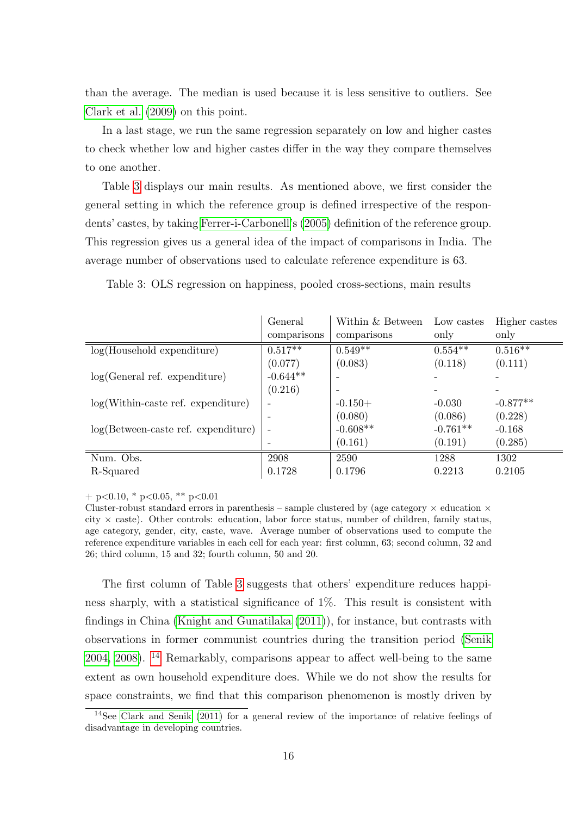than the average. The median is used because it is less sensitive to outliers. See [Clark et al.](#page-20-9) [\(2009\)](#page-20-9) on this point.

In a last stage, we run the same regression separately on low and higher castes to check whether low and higher castes differ in the way they compare themselves to one another.

Table [3](#page-15-0) displays our main results. As mentioned above, we first consider the general setting in which the reference group is defined irrespective of the respondents' castes, by taking [Ferrer-i-Carbonell'](#page-21-11)s [\(2005\)](#page-21-11) definition of the reference group. This regression gives us a general idea of the impact of comparisons in India. The average number of observations used to calculate reference expenditure is 63.

|                                                          | General                  | Within & Between | Low castes | Higher castes |
|----------------------------------------------------------|--------------------------|------------------|------------|---------------|
|                                                          | comparisons              | comparisons      | only       | only          |
| $log(Household$ expenditure)                             | $0.517***$               | $0.549**$        | $0.554***$ | $0.516***$    |
|                                                          | (0.077)                  | (0.083)          | (0.118)    | (0.111)       |
| log(General ref. expenditure)                            | $-0.644**$               |                  |            |               |
|                                                          | (0.216)                  |                  |            |               |
| $log(Within\text{-}case\text{ ref.}\text{ expenditure})$ | ٠                        | $-0.150+$        | $-0.030$   | $-0.877**$    |
|                                                          | ۰                        | (0.080)          | (0.086)    | (0.228)       |
| $log(Between-case.$ expenditure)                         | $\overline{\phantom{a}}$ | $-0.608**$       | $-0.761**$ | $-0.168$      |
|                                                          |                          | (0.161)          | (0.191)    | (0.285)       |
| Num. Obs.                                                | 2908                     | 2590             | 1288       | 1302          |
| R-Squared                                                | 0.1728                   | 0.1796           | 0.2213     | 0.2105        |

<span id="page-15-0"></span>Table 3: OLS regression on happiness, pooled cross-sections, main results

 $+$  p<0.10, \* p<0.05, \*\* p<0.01

Cluster-robust standard errors in parenthesis – sample clustered by (age category  $\times$  education  $\times$ city  $\times$  caste). Other controls: education, labor force status, number of children, family status, age category, gender, city, caste, wave. Average number of observations used to compute the reference expenditure variables in each cell for each year: first column, 63; second column, 32 and 26; third column, 15 and 32; fourth column, 50 and 20.

The first column of Table [3](#page-15-0) suggests that others' expenditure reduces happiness sharply, with a statistical significance of 1%. This result is consistent with findings in China [\(Knight and Gunatilaka](#page-22-9) [\(2011\)](#page-22-9)), for instance, but contrasts with observations in former communist countries during the transition period [\(Senik](#page-22-1) [2004,](#page-22-1) [2008\)](#page-22-2). [14](#page-0-0) Remarkably, comparisons appear to affect well-being to the same extent as own household expenditure does. While we do not show the results for space constraints, we find that this comparison phenomenon is mostly driven by

<sup>14</sup>See [Clark and Senik](#page-21-7) [\(2011\)](#page-21-7) for a general review of the importance of relative feelings of disadvantage in developing countries.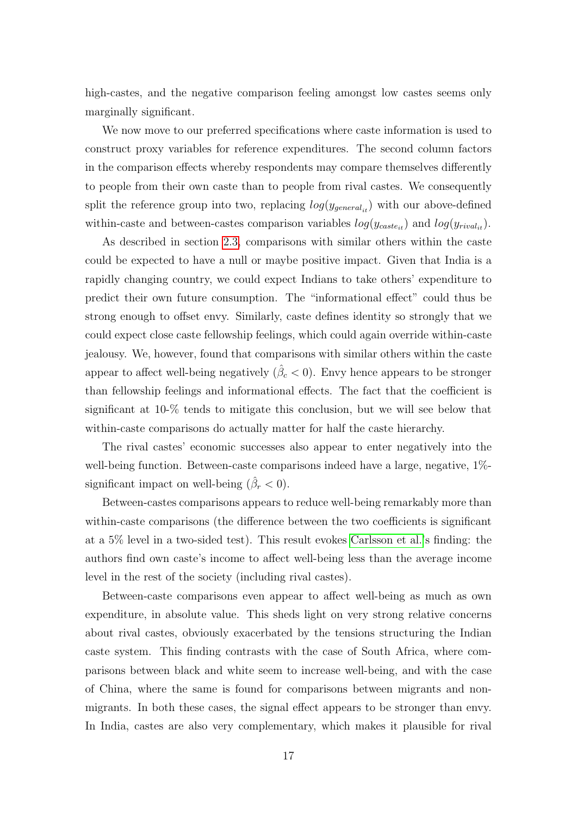high-castes, and the negative comparison feeling amongst low castes seems only marginally significant.

We now move to our preferred specifications where caste information is used to construct proxy variables for reference expenditures. The second column factors in the comparison effects whereby respondents may compare themselves differently to people from their own caste than to people from rival castes. We consequently split the reference group into two, replacing  $log(y_{general_{it}})$  with our above-defined within-caste and between-castes comparison variables  $log(y_{\text{case}_{it}})$  and  $log(y_{\text{rival}_{it}})$ .

As described in section 2.[3,](#page-6-0) comparisons with similar others within the caste could be expected to have a null or maybe positive impact. Given that India is a rapidly changing country, we could expect Indians to take others' expenditure to predict their own future consumption. The "informational effect" could thus be strong enough to offset envy. Similarly, caste defines identity so strongly that we could expect close caste fellowship feelings, which could again override within-caste jealousy. We, however, found that comparisons with similar others within the caste appear to affect well-being negatively  $(\hat{\beta}_c < 0)$ . Envy hence appears to be stronger than fellowship feelings and informational effects. The fact that the coefficient is significant at 10-% tends to mitigate this conclusion, but we will see below that within-caste comparisons do actually matter for half the caste hierarchy.

The rival castes' economic successes also appear to enter negatively into the well-being function. Between-caste comparisons indeed have a large, negative, 1% significant impact on well-being  $(\hat{\beta}_r < 0)$ .

Between-castes comparisons appears to reduce well-being remarkably more than within-caste comparisons (the difference between the two coefficients is significant at a 5% level in a two-sided test). This result evokes [Carlsson et al.'](#page-20-5)s finding: the authors find own caste's income to affect well-being less than the average income level in the rest of the society (including rival castes).

Between-caste comparisons even appear to affect well-being as much as own expenditure, in absolute value. This sheds light on very strong relative concerns about rival castes, obviously exacerbated by the tensions structuring the Indian caste system. This finding contrasts with the case of South Africa, where comparisons between black and white seem to increase well-being, and with the case of China, where the same is found for comparisons between migrants and nonmigrants. In both these cases, the signal effect appears to be stronger than envy. In India, castes are also very complementary, which makes it plausible for rival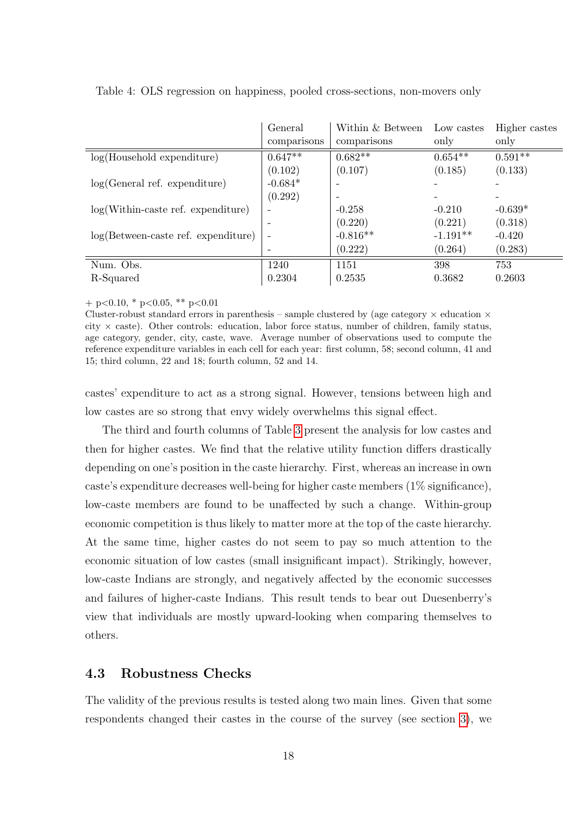|                                                          | General<br>comparisons | Within & Between<br>comparisons | Low castes<br>only | Higher castes<br>only |
|----------------------------------------------------------|------------------------|---------------------------------|--------------------|-----------------------|
| $log(Household$ expenditure)                             | $0.647**$              | $0.682**$                       | $0.654**$          | $0.591**$             |
|                                                          | (0.102)                | (0.107)                         | (0.185)            | (0.133)               |
| log(General ref. expenditure)                            | $-0.684*$              |                                 |                    |                       |
|                                                          | (0.292)                |                                 |                    |                       |
| $log(Within\text{-}case\text{ ref.}\text{ expenditure})$ |                        | $-0.258$                        | $-0.210$           | $-0.639*$             |
|                                                          |                        | (0.220)                         | (0.221)            | (0.318)               |
| $log(Between-case.$ expenditure)                         |                        | $-0.816**$                      | $-1.191**$         | $-0.420$              |
|                                                          |                        | (0.222)                         | (0.264)            | (0.283)               |
| Num. Obs.                                                | 1240                   | 1151                            | 398                | 753                   |
| R-Squared                                                | 0.2304                 | 0.2535                          | 0.3682             | 0.2603                |

<span id="page-17-1"></span>Table 4: OLS regression on happiness, pooled cross-sections, non-movers only

 $+$  p<0.10, \* p<0.05, \*\* p<0.01

Cluster-robust standard errors in parenthesis – sample clustered by (age category  $\times$  education  $\times$ city  $\times$  caste). Other controls: education, labor force status, number of children, family status, age category, gender, city, caste, wave. Average number of observations used to compute the reference expenditure variables in each cell for each year: first column, 58; second column, 41 and 15; third column, 22 and 18; fourth column, 52 and 14.

castes' expenditure to act as a strong signal. However, tensions between high and low castes are so strong that envy widely overwhelms this signal effect.

The third and fourth columns of Table [3](#page-15-0) present the analysis for low castes and then for higher castes. We find that the relative utility function differs drastically depending on one's position in the caste hierarchy. First, whereas an increase in own caste's expenditure decreases well-being for higher caste members (1% significance), low-caste members are found to be unaffected by such a change. Within-group economic competition is thus likely to matter more at the top of the caste hierarchy. At the same time, higher castes do not seem to pay so much attention to the economic situation of low castes (small insignificant impact). Strikingly, however, low-caste Indians are strongly, and negatively affected by the economic successes and failures of higher-caste Indians. This result tends to bear out Duesenberry's view that individuals are mostly upward-looking when comparing themselves to others.

### <span id="page-17-0"></span>4.3 Robustness Checks

The validity of the previous results is tested along two main lines. Given that some respondents changed their castes in the course of the survey (see section [3\)](#page-8-0), we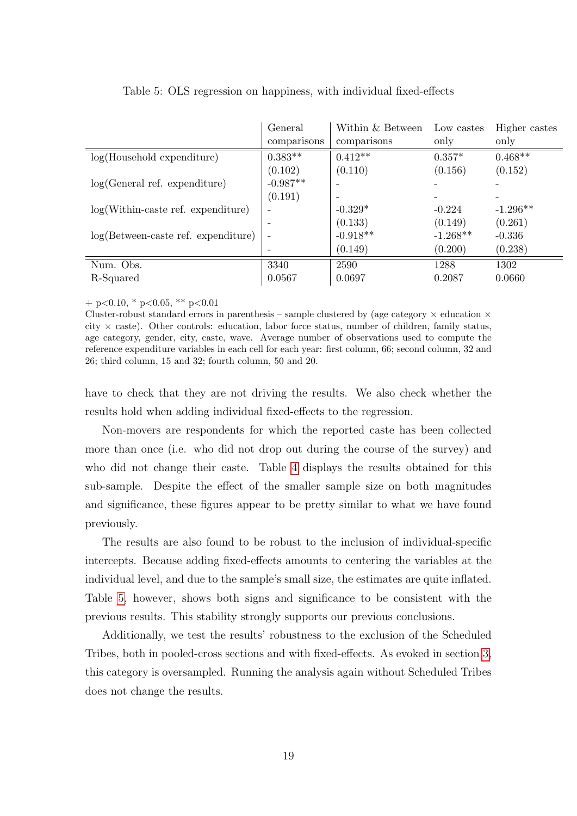|                                                          | General<br>comparisons | Within & Between<br>comparisons | Low castes<br>only | Higher castes<br>only |
|----------------------------------------------------------|------------------------|---------------------------------|--------------------|-----------------------|
| $log(Household$ expenditure)                             | $0.383**$              | $0.412**$                       | $0.357*$           | $0.468***$            |
|                                                          | (0.102)                | (0.110)                         | (0.156)            | (0.152)               |
| log(General ref. expenditure)                            | $-0.987**$             |                                 |                    |                       |
|                                                          | (0.191)                |                                 |                    |                       |
| $log(Within\text{-}case\text{ ref.}\text{ expenditure})$ |                        | $-0.329*$                       | $-0.224$           | $-1.296**$            |
|                                                          |                        | (0.133)                         | (0.149)            | (0.261)               |
| $log(Between-case set.$ expenditure)                     |                        | $-0.918**$                      | $-1.268**$         | $-0.336$              |
|                                                          |                        | (0.149)                         | (0.200)            | (0.238)               |
| Num. Obs.                                                | 3340                   | 2590                            | 1288               | 1302                  |
| R-Squared                                                | 0.0567                 | 0.0697                          | 0.2087             | 0.0660                |

<span id="page-18-0"></span>

| Table 5: OLS regression on happiness, with individual fixed-effects |  |  |  |  |  |  |  |  |  |  |  |  |
|---------------------------------------------------------------------|--|--|--|--|--|--|--|--|--|--|--|--|
|---------------------------------------------------------------------|--|--|--|--|--|--|--|--|--|--|--|--|

 $+$  p<0.10, \* p<0.05, \*\* p<0.01

Cluster-robust standard errors in parenthesis – sample clustered by (age category  $\times$  education  $\times$ city  $\times$  caste). Other controls: education, labor force status, number of children, family status, age category, gender, city, caste, wave. Average number of observations used to compute the reference expenditure variables in each cell for each year: first column, 66; second column, 32 and 26; third column, 15 and 32; fourth column, 50 and 20.

have to check that they are not driving the results. We also check whether the results hold when adding individual fixed-effects to the regression.

Non-movers are respondents for which the reported caste has been collected more than once (i.e. who did not drop out during the course of the survey) and who did not change their caste. Table [4](#page-17-1) displays the results obtained for this sub-sample. Despite the effect of the smaller sample size on both magnitudes and significance, these figures appear to be pretty similar to what we have found previously.

The results are also found to be robust to the inclusion of individual-specific intercepts. Because adding fixed-effects amounts to centering the variables at the individual level, and due to the sample's small size, the estimates are quite inflated. Table [5,](#page-18-0) however, shows both signs and significance to be consistent with the previous results. This stability strongly supports our previous conclusions.

Additionally, we test the results' robustness to the exclusion of the Scheduled Tribes, both in pooled-cross sections and with fixed-effects. As evoked in section [3,](#page-8-0) this category is oversampled. Running the analysis again without Scheduled Tribes does not change the results.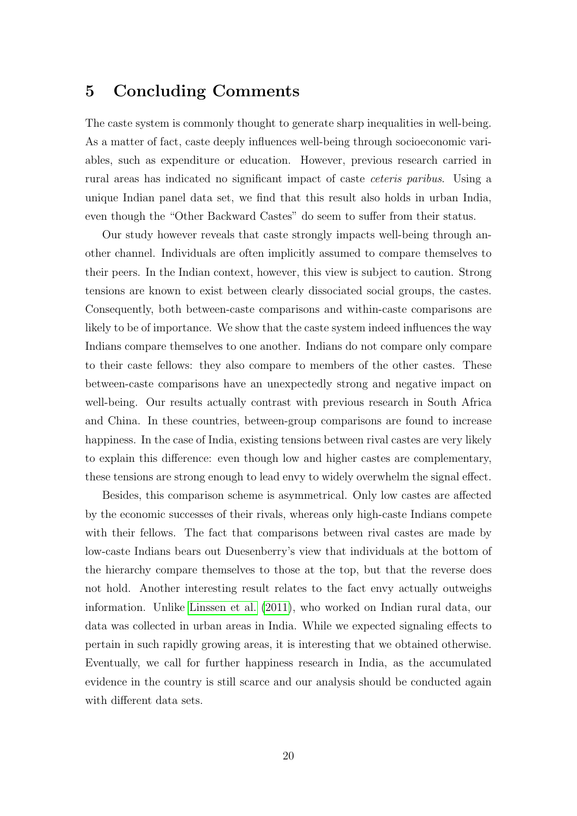### 5 Concluding Comments

The caste system is commonly thought to generate sharp inequalities in well-being. As a matter of fact, caste deeply influences well-being through socioeconomic variables, such as expenditure or education. However, previous research carried in rural areas has indicated no significant impact of caste ceteris paribus. Using a unique Indian panel data set, we find that this result also holds in urban India, even though the "Other Backward Castes" do seem to suffer from their status.

Our study however reveals that caste strongly impacts well-being through another channel. Individuals are often implicitly assumed to compare themselves to their peers. In the Indian context, however, this view is subject to caution. Strong tensions are known to exist between clearly dissociated social groups, the castes. Consequently, both between-caste comparisons and within-caste comparisons are likely to be of importance. We show that the caste system indeed influences the way Indians compare themselves to one another. Indians do not compare only compare to their caste fellows: they also compare to members of the other castes. These between-caste comparisons have an unexpectedly strong and negative impact on well-being. Our results actually contrast with previous research in South Africa and China. In these countries, between-group comparisons are found to increase happiness. In the case of India, existing tensions between rival castes are very likely to explain this difference: even though low and higher castes are complementary, these tensions are strong enough to lead envy to widely overwhelm the signal effect.

Besides, this comparison scheme is asymmetrical. Only low castes are affected by the economic successes of their rivals, whereas only high-caste Indians compete with their fellows. The fact that comparisons between rival castes are made by low-caste Indians bears out Duesenberry's view that individuals at the bottom of the hierarchy compare themselves to those at the top, but that the reverse does not hold. Another interesting result relates to the fact envy actually outweighs information. Unlike [Linssen et al.](#page-22-0) [\(2011\)](#page-22-0), who worked on Indian rural data, our data was collected in urban areas in India. While we expected signaling effects to pertain in such rapidly growing areas, it is interesting that we obtained otherwise. Eventually, we call for further happiness research in India, as the accumulated evidence in the country is still scarce and our analysis should be conducted again with different data sets.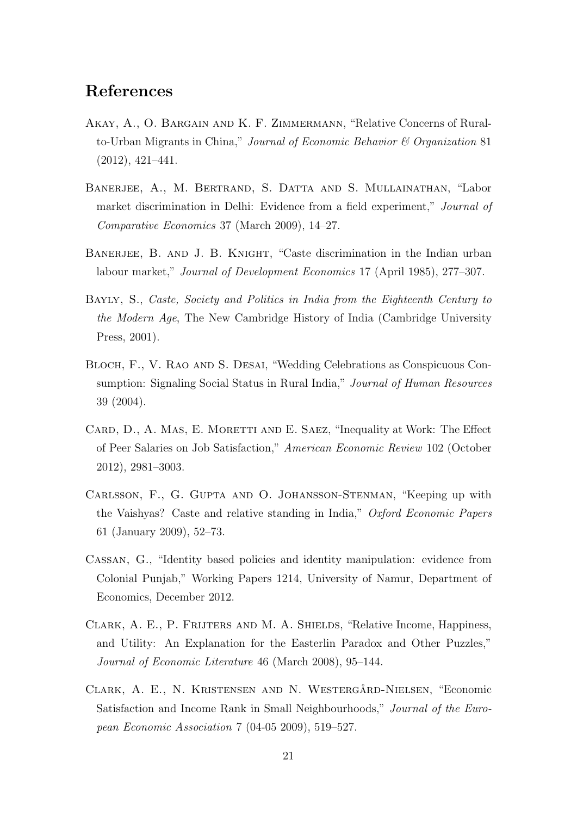### References

- <span id="page-20-6"></span>Akay, A., O. Bargain and K. F. Zimmermann, "Relative Concerns of Ruralto-Urban Migrants in China," Journal of Economic Behavior & Organization 81 (2012), 421–441.
- <span id="page-20-3"></span>Banerjee, A., M. Bertrand, S. Datta and S. Mullainathan, "Labor market discrimination in Delhi: Evidence from a field experiment," Journal of Comparative Economics 37 (March 2009), 14–27.
- <span id="page-20-2"></span>BANERJEE, B. AND J. B. KNIGHT, "Caste discrimination in the Indian urban labour market," Journal of Development Economics 17 (April 1985), 277–307.
- <span id="page-20-1"></span>Bayly, S., Caste, Society and Politics in India from the Eighteenth Century to the Modern Age, The New Cambridge History of India (Cambridge University Press, 2001).
- <span id="page-20-4"></span>BLOCH, F., V. RAO AND S. DESAI, "Wedding Celebrations as Conspicuous Consumption: Signaling Social Status in Rural India," Journal of Human Resources 39 (2004).
- <span id="page-20-7"></span>CARD, D., A. MAS, E. MORETTI AND E. SAEZ, "Inequality at Work: The Effect of Peer Salaries on Job Satisfaction," American Economic Review 102 (October 2012), 2981–3003.
- <span id="page-20-5"></span>Carlsson, F., G. Gupta and O. Johansson-Stenman, "Keeping up with the Vaishyas? Caste and relative standing in India," Oxford Economic Papers 61 (January 2009), 52–73.
- <span id="page-20-8"></span>Cassan, G., "Identity based policies and identity manipulation: evidence from Colonial Punjab," Working Papers 1214, University of Namur, Department of Economics, December 2012.
- <span id="page-20-0"></span>Clark, A. E., P. Frijters and M. A. Shields, "Relative Income, Happiness, and Utility: An Explanation for the Easterlin Paradox and Other Puzzles," Journal of Economic Literature 46 (March 2008), 95–144.
- <span id="page-20-9"></span>CLARK, A. E., N. KRISTENSEN AND N. WESTERGÄRD-NIELSEN, "Economic Satisfaction and Income Rank in Small Neighbourhoods," Journal of the European Economic Association 7 (04-05 2009), 519–527.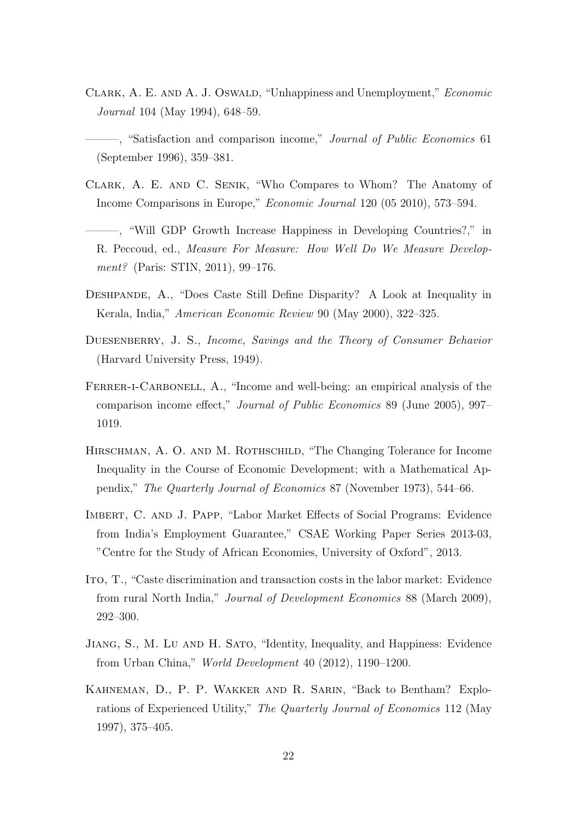<span id="page-21-9"></span>CLARK, A. E. AND A. J. OSWALD, "Unhappiness and Unemployment," Economic Journal 104 (May 1994), 648–59.

<span id="page-21-10"></span>-, "Satisfaction and comparison income," Journal of Public Economics 61 (September 1996), 359–381.

- <span id="page-21-0"></span>Clark, A. E. and C. Senik, "Who Compares to Whom? The Anatomy of Income Comparisons in Europe," Economic Journal 120 (05 2010), 573–594.
- <span id="page-21-7"></span>———, "Will GDP Growth Increase Happiness in Developing Countries?," in R. Peccoud, ed., Measure For Measure: How Well Do We Measure Development? (Paris: STIN, 2011), 99–176.
- <span id="page-21-1"></span>Deshpande, A., "Does Caste Still Define Disparity? A Look at Inequality in Kerala, India," American Economic Review 90 (May 2000), 322–325.
- <span id="page-21-5"></span>DUESENBERRY, J. S., Income, Savings and the Theory of Consumer Behavior (Harvard University Press, 1949).
- <span id="page-21-11"></span>FERRER-I-CARBONELL, A., "Income and well-being: an empirical analysis of the comparison income effect," Journal of Public Economics 89 (June 2005), 997– 1019.
- <span id="page-21-6"></span>HIRSCHMAN, A. O. AND M. ROTHSCHILD, "The Changing Tolerance for Income Inequality in the Course of Economic Development; with a Mathematical Appendix," The Quarterly Journal of Economics 87 (November 1973), 544–66.
- <span id="page-21-8"></span>Imbert, C. and J. Papp, "Labor Market Effects of Social Programs: Evidence from India's Employment Guarantee," CSAE Working Paper Series 2013-03, "Centre for the Study of African Economies, University of Oxford", 2013.
- <span id="page-21-2"></span>Ito, T., "Caste discrimination and transaction costs in the labor market: Evidence from rural North India," Journal of Development Economics 88 (March 2009), 292–300.
- <span id="page-21-4"></span>Jiang, S., M. Lu and H. Sato, "Identity, Inequality, and Happiness: Evidence from Urban China," World Development 40 (2012), 1190–1200.
- <span id="page-21-3"></span>Kahneman, D., P. P. Wakker and R. Sarin, "Back to Bentham? Explorations of Experienced Utility," The Quarterly Journal of Economics 112 (May 1997), 375–405.